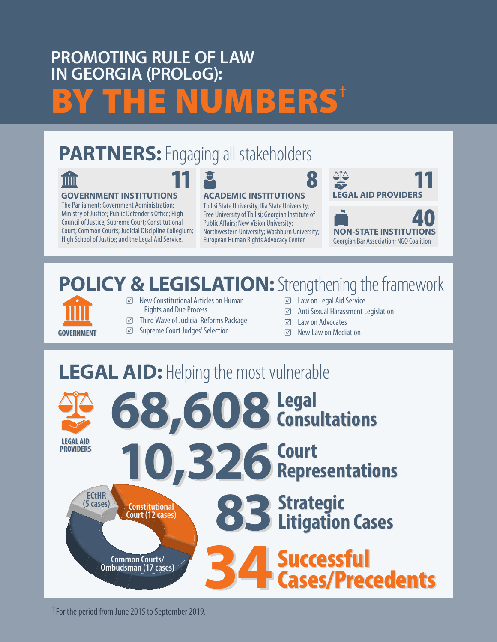## **PROMOTING RULE OF LAW IN GEORGIA (PROLoG):** BY THE NUMBERS<sup>†</sup>

### **PARTNERS:**Engaging all stakeholders

### TITT

#### **GOVERNMENT INSTITUTIONS**

The Parliament; Government Administration; Ministry of Justice; Public Defender's Office; High Council of Justice; Supreme Court; Constitutional Court; Common Courts; Judicial Discipline Collegium; High School of Justice; and the Legal Aid Service.



#### **ACADEMIC INSTITUTIONS**

Tbilisi State University; Ilia State University; Free University of Tbilisi; Georgian Institute of Public Affairs; New Vision University; Northwestern University; Washburn University; European Human Rights Advocacy Center



### **POLICY & LEGISLATION:** Strengthening the framework



- ☑ New Constitutional Articles on Human Rights and Due Process
- ☑ Third Wave of Judicial Reforms Package
- GOVERNMENT **and Supreme Court Judges' Selection GOVERNMENT** and Mediation
- ☑ Law on Legal Aid Service
- ☑ Anti Sexual Harassment Legislation
- ☑ Law on Advocates

8

# **LEGAL AID: Helping the most vulnerable**